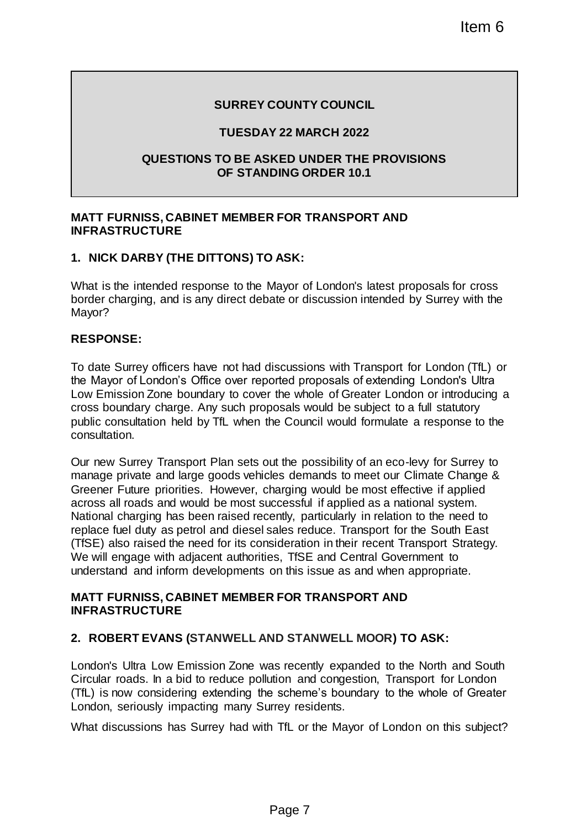## **SURREY COUNTY COUNCIL**

### **TUESDAY 22 MARCH 2022**

### **QUESTIONS TO BE ASKED UNDER THE PROVISIONS OF STANDING ORDER 10.1**

### **MATT FURNISS, CABINET MEMBER FOR TRANSPORT AND INFRASTRUCTURE**

## **1. NICK DARBY (THE DITTONS) TO ASK:**

What is the intended response to the Mayor of London's latest proposals for cross border charging, and is any direct debate or discussion intended by Surrey with the Mayor?

### **RESPONSE:**

To date Surrey officers have not had discussions with Transport for London (TfL) or the Mayor of London's Office over reported proposals of extending London's Ultra Low Emission Zone boundary to cover the whole of Greater London or introducing a cross boundary charge. Any such proposals would be subject to a full statutory public consultation held by TfL when the Council would formulate a response to the consultation.

Our new Surrey Transport Plan sets out the possibility of an eco-levy for Surrey to manage private and large goods vehicles demands to meet our Climate Change & Greener Future priorities. However, charging would be most effective if applied across all roads and would be most successful if applied as a national system. National charging has been raised recently, particularly in relation to the need to replace fuel duty as petrol and diesel sales reduce. Transport for the South East (TfSE) also raised the need for its consideration in their recent Transport Strategy. We will engage with adjacent authorities, TfSE and Central Government to understand and inform developments on this issue as and when appropriate. Item 6<br>
The COUNTY COUNCIL<br>
THE PROVISIONS<br>
THE VALUAT 2022<br>
THE VALUAT 2022<br>
THE VALUAT THE PROVISIONS<br>
DING ORDER 10.1<br>
THE VALUAT THE PROVISIONS<br>
ASK:<br>
Hayor of London's latest proposals for cross<br>
tate or discussions w

### **MATT FURNISS, CABINET MEMBER FOR TRANSPORT AND INFRASTRUCTURE**

### **2. ROBERT EVANS (STANWELL AND STANWELL MOOR) TO ASK:**

London's Ultra Low Emission Zone was recently expanded to the North and South Circular roads. In a bid to reduce pollution and congestion, Transport for London (TfL) is now considering extending the scheme's boundary to the whole of Greater London, seriously impacting many Surrey residents.

What discussions has Surrey had with TfL or the Mayor of London on this subject?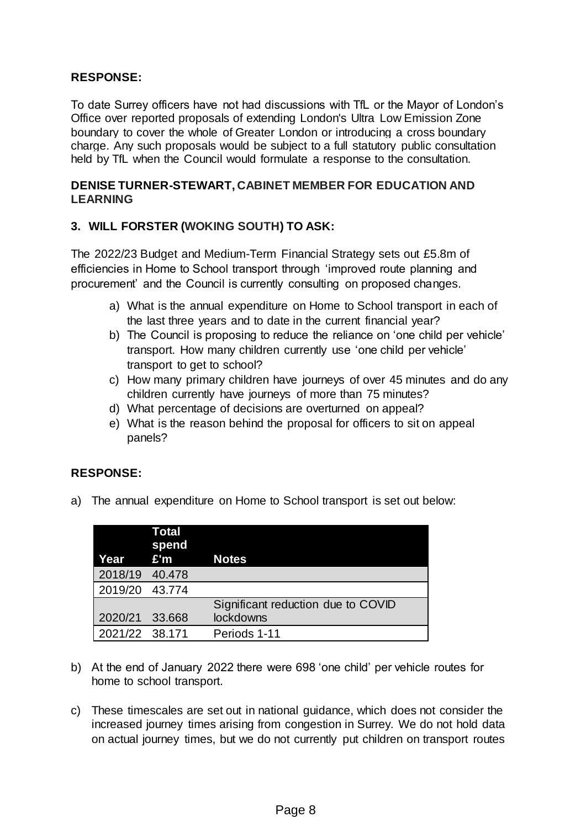## **RESPONSE:**

To date Surrey officers have not had discussions with TfL or the Mayor of London's Office over reported proposals of extending London's Ultra Low Emission Zone boundary to cover the whole of Greater London or introducing a cross boundary charge. Any such proposals would be subject to a full statutory public consultation held by TfL when the Council would formulate a response to the consultation.

## **DENISE TURNER-STEWART, CABINET MEMBER FOR EDUCATION AND LEARNING**

## **3. WILL FORSTER (WOKING SOUTH) TO ASK:**

The 2022/23 Budget and Medium-Term Financial Strategy sets out £5.8m of efficiencies in Home to School transport through 'improved route planning and procurement' and the Council is currently consulting on proposed changes.

- a) What is the annual expenditure on Home to School transport in each of the last three years and to date in the current financial year?
- b) The Council is proposing to reduce the reliance on 'one child per vehicle' transport. How many children currently use 'one child per vehicle' transport to get to school?
- c) How many primary children have journeys of over 45 minutes and do any children currently have journeys of more than 75 minutes?
- d) What percentage of decisions are overturned on appeal?
- e) What is the reason behind the proposal for officers to sit on appeal panels?

### **RESPONSE:**

a) The annual expenditure on Home to School transport is set out below:

|                | Total<br>spend<br>Year £'m | <b>Notes</b>                       |
|----------------|----------------------------|------------------------------------|
| 2018/19 40.478 |                            |                                    |
| 2019/20 43.774 |                            |                                    |
|                |                            | Significant reduction due to COVID |
| 2020/21 33.668 |                            | lockdowns                          |
| 2021/22 38.171 |                            | Periods 1-11                       |

- b) At the end of January 2022 there were 698 'one child' per vehicle routes for home to school transport.
- c) These timescales are set out in national guidance, which does not consider the increased journey times arising from congestion in Surrey. We do not hold data on actual journey times, but we do not currently put children on transport routes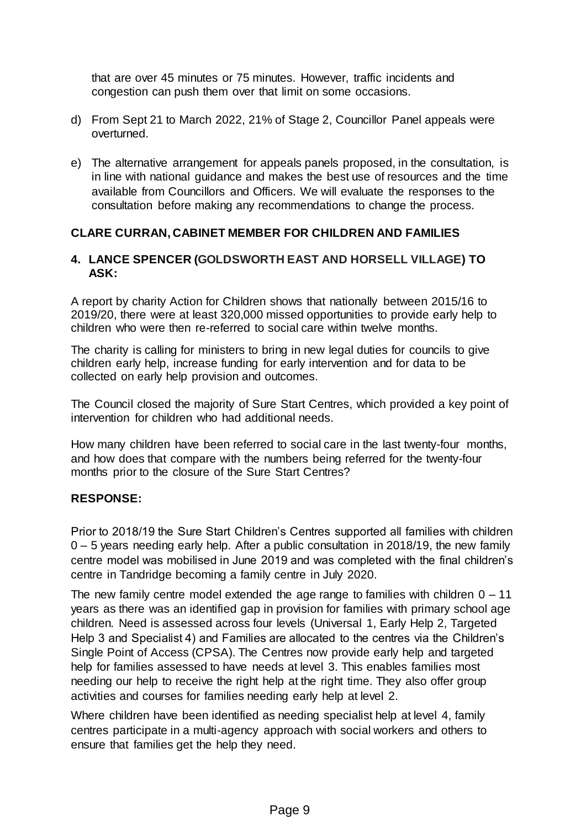that are over 45 minutes or 75 minutes. However, traffic incidents and congestion can push them over that limit on some occasions.

- d) From Sept 21 to March 2022, 21% of Stage 2, Councillor Panel appeals were overturned.
- e) The alternative arrangement for appeals panels proposed, in the consultation, is in line with national guidance and makes the best use of resources and the time available from Councillors and Officers. We will evaluate the responses to the consultation before making any recommendations to change the process.

## **CLARE CURRAN, CABINET MEMBER FOR CHILDREN AND FAMILIES**

### **4. LANCE SPENCER (GOLDSWORTH EAST AND HORSELL VILLAGE) TO ASK:**

A report by charity Action for Children shows that nationally between 2015/16 to 2019/20, there were at least 320,000 missed opportunities to provide early help to children who were then re-referred to social care within twelve months.

The charity is calling for ministers to bring in new legal duties for councils to give children early help, increase funding for early intervention and for data to be collected on early help provision and outcomes.

The Council closed the majority of Sure Start Centres, which provided a key point of intervention for children who had additional needs.

How many children have been referred to social care in the last twenty-four months, and how does that compare with the numbers being referred for the twenty-four months prior to the closure of the Sure Start Centres?

### **RESPONSE:**

Prior to 2018/19 the Sure Start Children's Centres supported all families with children 0 – 5 years needing early help. After a public consultation in 2018/19, the new family centre model was mobilised in June 2019 and was completed with the final children's centre in Tandridge becoming a family centre in July 2020.

The new family centre model extended the age range to families with children  $0 - 11$ years as there was an identified gap in provision for families with primary school age children. Need is assessed across four levels (Universal 1, Early Help 2, Targeted Help 3 and Specialist 4) and Families are allocated to the centres via the Children's Single Point of Access (CPSA). The Centres now provide early help and targeted help for families assessed to have needs at level 3. This enables families most needing our help to receive the right help at the right time. They also offer group activities and courses for families needing early help at level 2.

Where children have been identified as needing specialist help at level 4, family centres participate in a multi-agency approach with social workers and others to ensure that families get the help they need.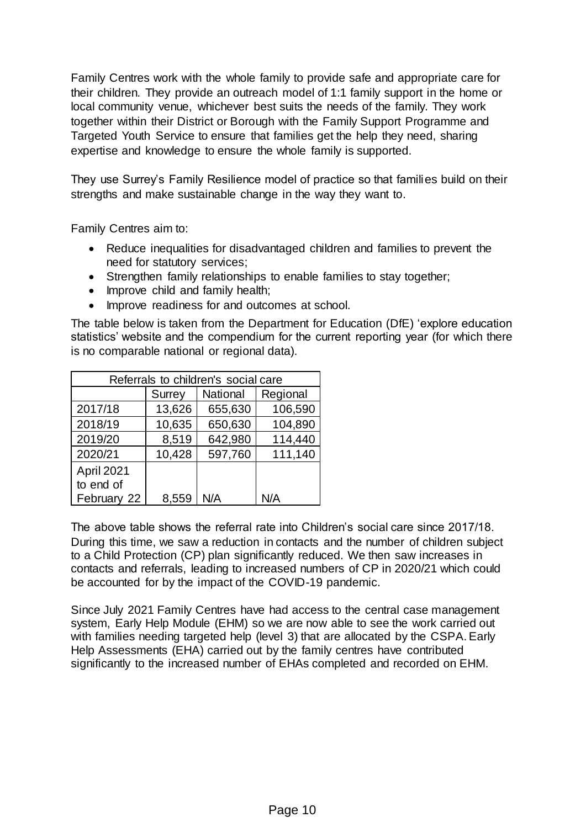Family Centres work with the whole family to provide safe and appropriate care for their children. They provide an outreach model of 1:1 family support in the home or local community venue, whichever best suits the needs of the family. They work together within their District or Borough with the Family Support Programme and Targeted Youth Service to ensure that families get the help they need, sharing expertise and knowledge to ensure the whole family is supported.

They use Surrey's Family Resilience model of practice so that families build on their strengths and make sustainable change in the way they want to.

Family Centres aim to:

- Reduce inequalities for disadvantaged children and families to prevent the need for statutory services;
- Strengthen family relationships to enable families to stay together;
- Improve child and family health;
- Improve readiness for and outcomes at school.

The table below is taken from the Department for Education (DfE) 'explore education statistics' website and the compendium for the current reporting year (for which there is no comparable national or regional data).

| Referrals to children's social care |               |          |          |  |  |
|-------------------------------------|---------------|----------|----------|--|--|
|                                     | <b>Surrey</b> | National | Regional |  |  |
| 2017/18                             | 13,626        | 655,630  | 106,590  |  |  |
| 2018/19                             | 10,635        | 650,630  | 104,890  |  |  |
| 2019/20                             | 8,519         | 642,980  | 114,440  |  |  |
| 2020/21                             | 10,428        | 597,760  | 111,140  |  |  |
| April 2021                          |               |          |          |  |  |
| to end of                           |               |          |          |  |  |
| February 22                         | 8,559         | N/A      | N/A      |  |  |

The above table shows the referral rate into Children's social care since 2017/18. During this time, we saw a reduction in contacts and the number of children subject to a Child Protection (CP) plan significantly reduced. We then saw increases in contacts and referrals, leading to increased numbers of CP in 2020/21 which could be accounted for by the impact of the COVID-19 pandemic.

Since July 2021 Family Centres have had access to the central case management system, Early Help Module (EHM) so we are now able to see the work carried out with families needing targeted help (level 3) that are allocated by the CSPA. Early Help Assessments (EHA) carried out by the family centres have contributed significantly to the increased number of EHAs completed and recorded on EHM.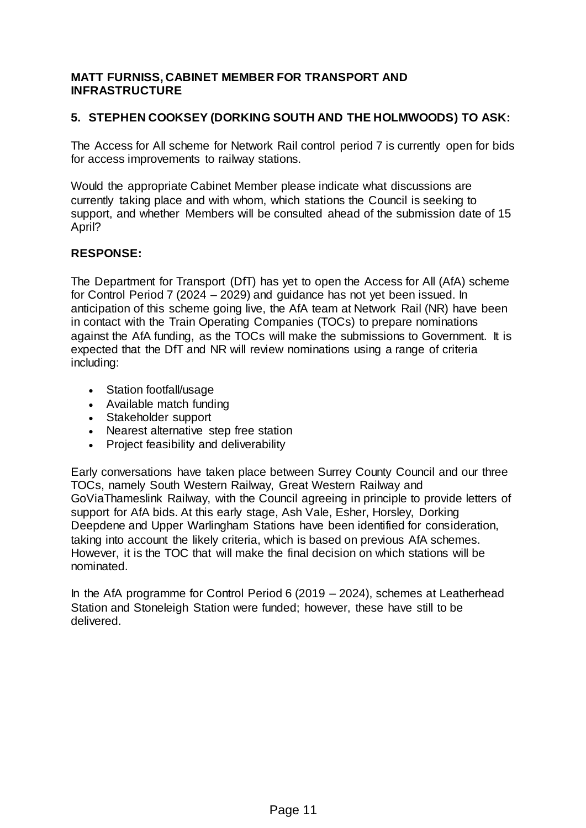### **MATT FURNISS, CABINET MEMBER FOR TRANSPORT AND INFRASTRUCTURE**

# **5. STEPHEN COOKSEY (DORKING SOUTH AND THE HOLMWOODS) TO ASK:**

The Access for All scheme for Network Rail control period 7 is currently open for bids for access improvements to railway stations.

Would the appropriate Cabinet Member please indicate what discussions are currently taking place and with whom, which stations the Council is seeking to support, and whether Members will be consulted ahead of the submission date of 15 April?

# **RESPONSE:**

The Department for Transport (DfT) has yet to open the Access for All (AfA) scheme for Control Period 7 (2024 – 2029) and guidance has not yet been issued. In anticipation of this scheme going live, the AfA team at Network Rail (NR) have been in contact with the Train Operating Companies (TOCs) to prepare nominations against the AfA funding, as the TOCs will make the submissions to Government. It is expected that the DfT and NR will review nominations using a range of criteria including:

- Station footfall/usage
- Available match funding
- Stakeholder support
- Nearest alternative step free station
- Project feasibility and deliverability

Early conversations have taken place between Surrey County Council and our three TOCs, namely South Western Railway, Great Western Railway and GoViaThameslink Railway, with the Council agreeing in principle to provide letters of support for AfA bids. At this early stage, Ash Vale, Esher, Horsley, Dorking Deepdene and Upper Warlingham Stations have been identified for consideration, taking into account the likely criteria, which is based on previous AfA schemes. However, it is the TOC that will make the final decision on which stations will be nominated.

In the AfA programme for Control Period 6 (2019 – 2024), schemes at Leatherhead Station and Stoneleigh Station were funded; however, these have still to be delivered.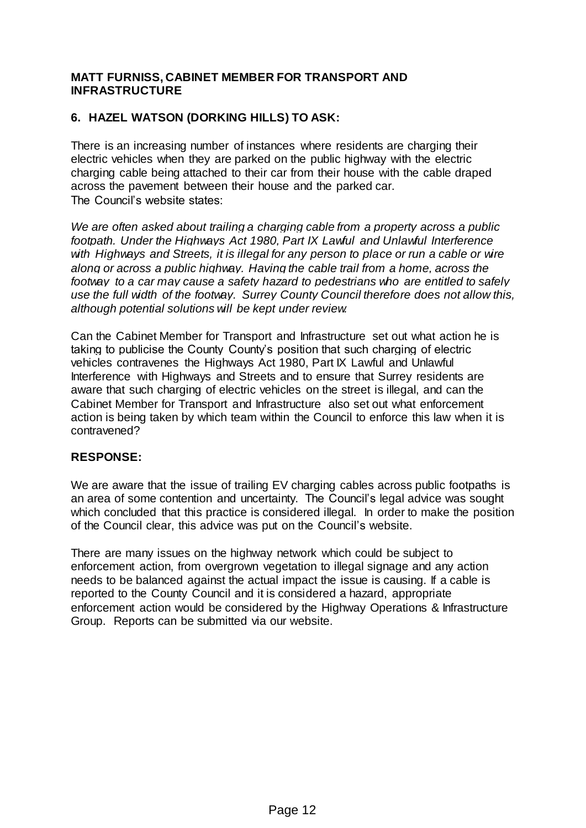### **MATT FURNISS, CABINET MEMBER FOR TRANSPORT AND INFRASTRUCTURE**

# **6. HAZEL WATSON (DORKING HILLS) TO ASK:**

There is an increasing number of instances where residents are charging their electric vehicles when they are parked on the public highway with the electric charging cable being attached to their car from their house with the cable draped across the pavement between their house and the parked car. The Council's website states:

*We are often asked about trailing a charging cable from a property across a public footpath. Under the Highways Act 1980, Part IX Lawful and Unlawful Interference*  with Highways and Streets, it is illegal for any person to place or run a cable or wire *along or across a public highway. Having the cable trail from a home, across the footway to a car may cause a safety hazard to pedestrians who are entitled to safely use the full width of the footway. Surrey County Council therefore does not allow this, although potential solutions will be kept under review.*

Can the Cabinet Member for Transport and Infrastructure set out what action he is taking to publicise the County County's position that such charging of electric vehicles contravenes the Highways Act 1980, Part IX Lawful and Unlawful Interference with Highways and Streets and to ensure that Surrey residents are aware that such charging of electric vehicles on the street is illegal, and can the Cabinet Member for Transport and Infrastructure also set out what enforcement action is being taken by which team within the Council to enforce this law when it is contravened?

### **RESPONSE:**

We are aware that the issue of trailing EV charging cables across public footpaths is an area of some contention and uncertainty. The Council's legal advice was sought which concluded that this practice is considered illegal. In order to make the position of the Council clear, this advice was put on the Council's website.

There are many issues on the highway network which could be subject to enforcement action, from overgrown vegetation to illegal signage and any action needs to be balanced against the actual impact the issue is causing. If a cable is reported to the County Council and it is considered a hazard, appropriate enforcement action would be considered by the Highway Operations & Infrastructure Group. Reports can be submitted via our website.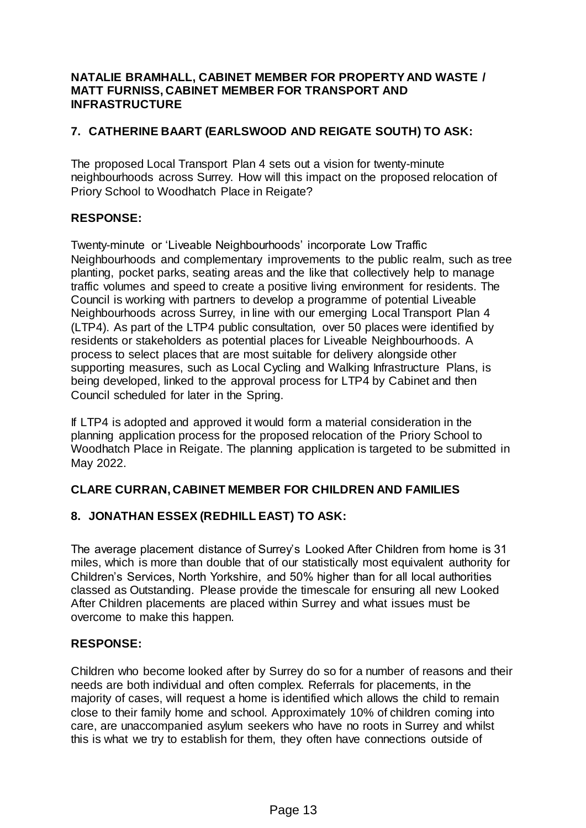### **NATALIE BRAMHALL, CABINET MEMBER FOR PROPERTY AND WASTE / MATT FURNISS, CABINET MEMBER FOR TRANSPORT AND INFRASTRUCTURE**

# **7. CATHERINE BAART (EARLSWOOD AND REIGATE SOUTH) TO ASK:**

The proposed Local Transport Plan 4 sets out a vision for twenty-minute neighbourhoods across Surrey. How will this impact on the proposed relocation of Priory School to Woodhatch Place in Reigate?

## **RESPONSE:**

Twenty-minute or 'Liveable Neighbourhoods' incorporate Low Traffic Neighbourhoods and complementary improvements to the public realm, such as tree planting, pocket parks, seating areas and the like that collectively help to manage traffic volumes and speed to create a positive living environment for residents. The Council is working with partners to develop a programme of potential Liveable Neighbourhoods across Surrey, in line with our emerging Local Transport Plan 4 (LTP4). As part of the LTP4 public consultation, over 50 places were identified by residents or stakeholders as potential places for Liveable Neighbourhoods. A process to select places that are most suitable for delivery alongside other supporting measures, such as Local Cycling and Walking Infrastructure Plans, is being developed, linked to the approval process for LTP4 by Cabinet and then Council scheduled for later in the Spring.

If LTP4 is adopted and approved it would form a material consideration in the planning application process for the proposed relocation of the Priory School to Woodhatch Place in Reigate. The planning application is targeted to be submitted in May 2022.

## **CLARE CURRAN, CABINET MEMBER FOR CHILDREN AND FAMILIES**

## **8. JONATHAN ESSEX (REDHILL EAST) TO ASK:**

The average placement distance of Surrey's Looked After Children from home is 31 miles, which is more than double that of our statistically most equivalent authority for Children's Services, North Yorkshire, and 50% higher than for all local authorities classed as Outstanding. Please provide the timescale for ensuring all new Looked After Children placements are placed within Surrey and what issues must be overcome to make this happen.

### **RESPONSE:**

Children who become looked after by Surrey do so for a number of reasons and their needs are both individual and often complex. Referrals for placements, in the majority of cases, will request a home is identified which allows the child to remain close to their family home and school. Approximately 10% of children coming into care, are unaccompanied asylum seekers who have no roots in Surrey and whilst this is what we try to establish for them, they often have connections outside of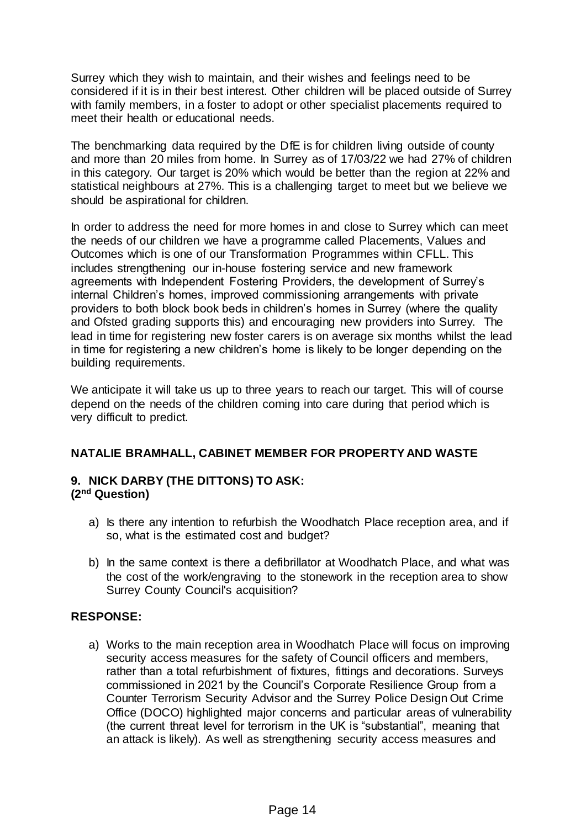Surrey which they wish to maintain, and their wishes and feelings need to be considered if it is in their best interest. Other children will be placed outside of Surrey with family members, in a foster to adopt or other specialist placements required to meet their health or educational needs.

The benchmarking data required by the DfE is for children living outside of county and more than 20 miles from home. In Surrey as of 17/03/22 we had 27% of children in this category. Our target is 20% which would be better than the region at 22% and statistical neighbours at 27%. This is a challenging target to meet but we believe we should be aspirational for children.

In order to address the need for more homes in and close to Surrey which can meet the needs of our children we have a programme called Placements, Values and Outcomes which is one of our Transformation Programmes within CFLL. This includes strengthening our in-house fostering service and new framework agreements with Independent Fostering Providers, the development of Surrey's internal Children's homes, improved commissioning arrangements with private providers to both block book beds in children's homes in Surrey (where the quality and Ofsted grading supports this) and encouraging new providers into Surrey. The lead in time for registering new foster carers is on average six months whilst the lead in time for registering a new children's home is likely to be longer depending on the building requirements.

We anticipate it will take us up to three years to reach our target. This will of course depend on the needs of the children coming into care during that period which is very difficult to predict.

## **NATALIE BRAMHALL, CABINET MEMBER FOR PROPERTY AND WASTE**

#### **9. NICK DARBY (THE DITTONS) TO ASK: (2nd Question)**

- a) Is there any intention to refurbish the Woodhatch Place reception area, and if so, what is the estimated cost and budget?
- b) In the same context is there a defibrillator at Woodhatch Place, and what was the cost of the work/engraving to the stonework in the reception area to show Surrey County Council's acquisition?

### **RESPONSE:**

a) Works to the main reception area in Woodhatch Place will focus on improving security access measures for the safety of Council officers and members, rather than a total refurbishment of fixtures, fittings and decorations. Surveys commissioned in 2021 by the Council's Corporate Resilience Group from a Counter Terrorism Security Advisor and the Surrey Police Design Out Crime Office (DOCO) highlighted major concerns and particular areas of vulnerability (the current threat level for terrorism in the UK is "substantial", meaning that an attack is likely). As well as strengthening security access measures and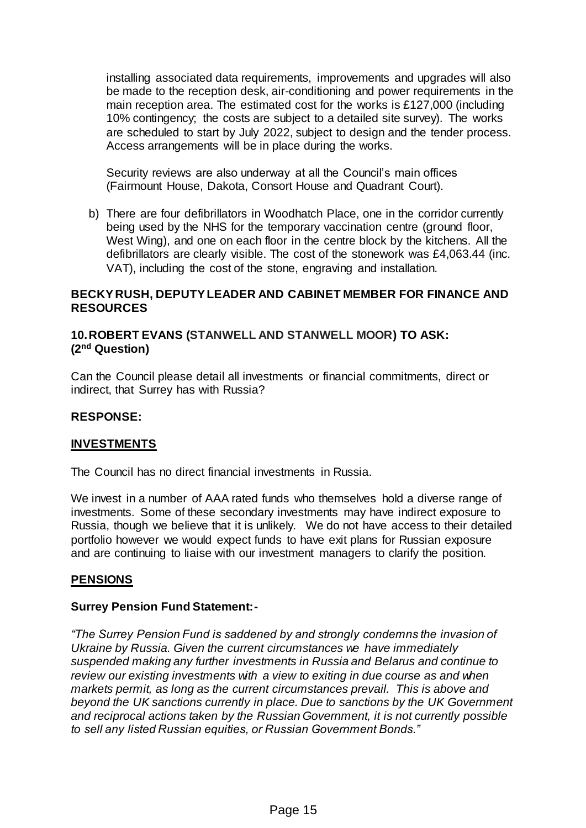installing associated data requirements, improvements and upgrades will also be made to the reception desk, air-conditioning and power requirements in the main reception area. The estimated cost for the works is £127,000 (including 10% contingency; the costs are subject to a detailed site survey). The works are scheduled to start by July 2022, subject to design and the tender process. Access arrangements will be in place during the works.

Security reviews are also underway at all the Council's main offices (Fairmount House, Dakota, Consort House and Quadrant Court).

b) There are four defibrillators in Woodhatch Place, one in the corridor currently being used by the NHS for the temporary vaccination centre (ground floor, West Wing), and one on each floor in the centre block by the kitchens. All the defibrillators are clearly visible. The cost of the stonework was £4,063.44 (inc. VAT), including the cost of the stone, engraving and installation.

## **BECKY RUSH, DEPUTY LEADER AND CABINET MEMBER FOR FINANCE AND RESOURCES**

## **10.ROBERT EVANS (STANWELL AND STANWELL MOOR) TO ASK: (2nd Question)**

Can the Council please detail all investments or financial commitments, direct or indirect, that Surrey has with Russia?

### **RESPONSE:**

### **INVESTMENTS**

The Council has no direct financial investments in Russia.

We invest in a number of AAA rated funds who themselves hold a diverse range of investments. Some of these secondary investments may have indirect exposure to Russia, though we believe that it is unlikely. We do not have access to their detailed portfolio however we would expect funds to have exit plans for Russian exposure and are continuing to liaise with our investment managers to clarify the position.

## **PENSIONS**

### **Surrey Pension Fund Statement:-**

*"The Surrey Pension Fund is saddened by and strongly condemns the invasion of Ukraine by Russia. Given the current circumstances we have immediately suspended making any further investments in Russia and Belarus and continue to review our existing investments with a view to exiting in due course as and when markets permit, as long as the current circumstances prevail. This is above and beyond the UK sanctions currently in place. Due to sanctions by the UK Government and reciprocal actions taken by the Russian Government, it is not currently possible to sell any listed Russian equities, or Russian Government Bonds."*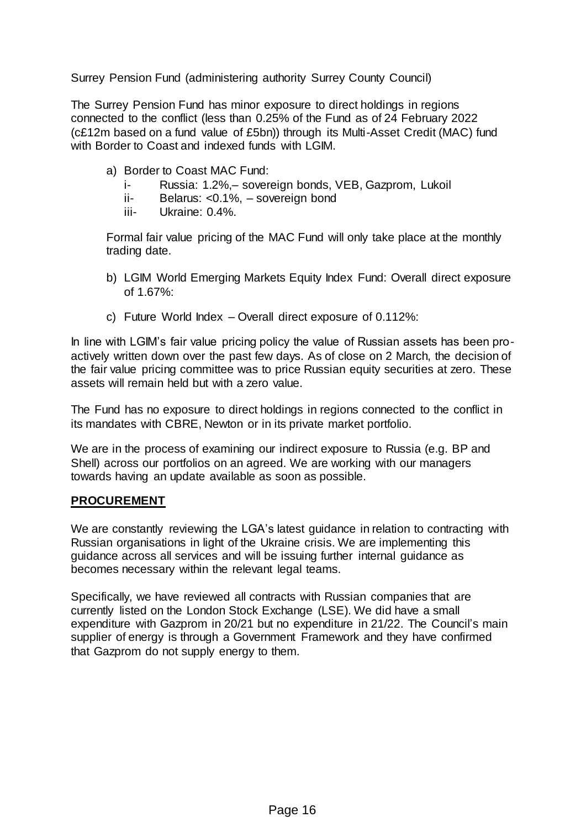Surrey Pension Fund (administering authority Surrey County Council)

The Surrey Pension Fund has minor exposure to direct holdings in regions connected to the conflict (less than 0.25% of the Fund as of 24 February 2022 (c£12m based on a fund value of £5bn)) through its Multi-Asset Credit (MAC) fund with Border to Coast and indexed funds with LGIM.

- a) Border to Coast MAC Fund:
	- i- Russia: 1.2%,– sovereign bonds, VEB, Gazprom, Lukoil
	- ii- Belarus: <0.1%, sovereign bond
	- iii- Ukraine: 0.4%.

Formal fair value pricing of the MAC Fund will only take place at the monthly trading date.

- b) LGIM World Emerging Markets Equity Index Fund: Overall direct exposure of 1.67%:
- c) Future World Index Overall direct exposure of 0.112%:

In line with LGIM's fair value pricing policy the value of Russian assets has been proactively written down over the past few days. As of close on 2 March, the decision of the fair value pricing committee was to price Russian equity securities at zero. These assets will remain held but with a zero value.

The Fund has no exposure to direct holdings in regions connected to the conflict in its mandates with CBRE, Newton or in its private market portfolio.

We are in the process of examining our indirect exposure to Russia (e.g. BP and Shell) across our portfolios on an agreed. We are working with our managers towards having an update available as soon as possible.

### **PROCUREMENT**

We are constantly reviewing the LGA's latest guidance in relation to contracting with Russian organisations in light of the Ukraine crisis. We are implementing this guidance across all services and will be issuing further internal guidance as becomes necessary within the relevant legal teams.

Specifically, we have reviewed all contracts with Russian companies that are currently listed on the London Stock Exchange (LSE). We did have a small expenditure with Gazprom in 20/21 but no expenditure in 21/22. The Council's main supplier of energy is through a Government Framework and they have confirmed that Gazprom do not supply energy to them.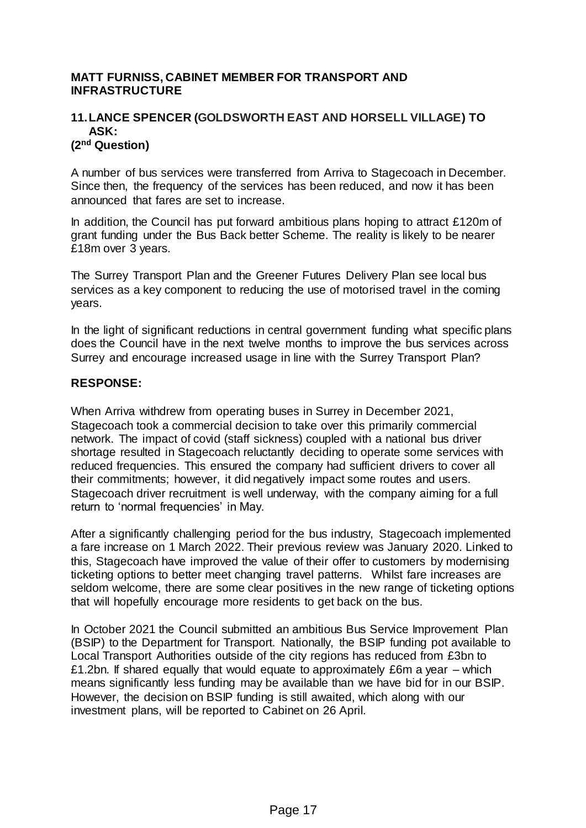### **MATT FURNISS, CABINET MEMBER FOR TRANSPORT AND INFRASTRUCTURE**

#### **11.LANCE SPENCER (GOLDSWORTH EAST AND HORSELL VILLAGE) TO ASK: (2nd Question)**

A number of bus services were transferred from Arriva to Stagecoach in December. Since then, the frequency of the services has been reduced, and now it has been announced that fares are set to increase.

In addition, the Council has put forward ambitious plans hoping to attract £120m of grant funding under the Bus Back better Scheme. The reality is likely to be nearer £18m over 3 years.

The Surrey Transport Plan and the Greener Futures Delivery Plan see local bus services as a key component to reducing the use of motorised travel in the coming years.

In the light of significant reductions in central government funding what specific plans does the Council have in the next twelve months to improve the bus services across Surrey and encourage increased usage in line with the Surrey Transport Plan?

#### **RESPONSE:**

When Arriva withdrew from operating buses in Surrey in December 2021, Stagecoach took a commercial decision to take over this primarily commercial network. The impact of covid (staff sickness) coupled with a national bus driver shortage resulted in Stagecoach reluctantly deciding to operate some services with reduced frequencies. This ensured the company had sufficient drivers to cover all their commitments; however, it did negatively impact some routes and users. Stagecoach driver recruitment is well underway, with the company aiming for a full return to 'normal frequencies' in May.

After a significantly challenging period for the bus industry, Stagecoach implemented a fare increase on 1 March 2022. Their previous review was January 2020. Linked to this, Stagecoach have improved the value of their offer to customers by modernising ticketing options to better meet changing travel patterns. Whilst fare increases are seldom welcome, there are some clear positives in the new range of ticketing options that will hopefully encourage more residents to get back on the bus.

In October 2021 the Council submitted an ambitious Bus Service Improvement Plan (BSIP) to the Department for Transport. Nationally, the BSIP funding pot available to Local Transport Authorities outside of the city regions has reduced from £3bn to £1.2bn. If shared equally that would equate to approximately  $£6m$  a year – which means significantly less funding may be available than we have bid for in our BSIP. However, the decision on BSIP funding is still awaited, which along with our investment plans, will be reported to Cabinet on 26 April.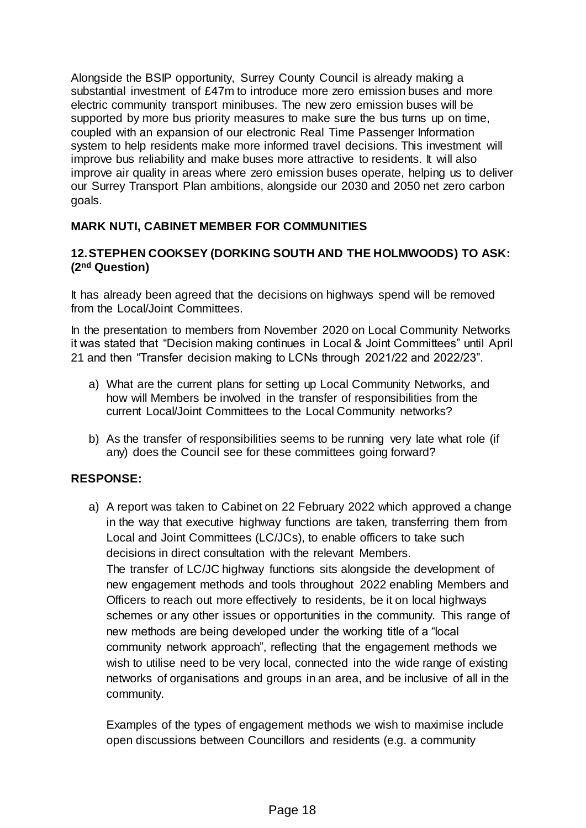Alongside the BSIP opportunity, Surrey County Council is already making a substantial investment of £47m to introduce more zero emission buses and more electric community transport minibuses. The new zero emission buses will be supported by more bus priority measures to make sure the bus turns up on time, coupled with an expansion of our electronic Real Time Passenger Information system to help residents make more informed travel decisions. This investment will improve bus reliability and make buses more attractive to residents. It will also improve air quality in areas where zero emission buses operate, helping us to deliver our Surrey Transport Plan ambitions, alongside our 2030 and 2050 net zero carbon goals.

## **MARK NUTI, CABINET MEMBER FOR COMMUNITIES**

## **12.STEPHEN COOKSEY (DORKING SOUTH AND THE HOLMWOODS) TO ASK: (2nd Question)**

It has already been agreed that the decisions on highways spend will be removed from the Local/Joint Committees.

In the presentation to members from November 2020 on Local Community Networks it was stated that "Decision making continues in Local & Joint Committees" until April 21 and then "Transfer decision making to LCNs through 2021/22 and 2022/23".

- a) What are the current plans for setting up Local Community Networks, and how will Members be involved in the transfer of responsibilities from the current Local/Joint Committees to the Local Community networks?
- b) As the transfer of responsibilities seems to be running very late what role (if any) does the Council see for these committees going forward?

## **RESPONSE:**

a) A report was taken to Cabinet on 22 February 2022 which approved a change in the way that executive highway functions are taken, transferring them from Local and Joint Committees (LC/JCs), to enable officers to take such decisions in direct consultation with the relevant Members. The transfer of LC/JC highway functions sits alongside the development of new engagement methods and tools throughout 2022 enabling Members and Officers to reach out more effectively to residents, be it on local highways schemes or any other issues or opportunities in the community. This range of new methods are being developed under the working title of a "local community network approach", reflecting that the engagement methods we wish to utilise need to be very local, connected into the wide range of existing networks of organisations and groups in an area, and be inclusive of all in the community.

Examples of the types of engagement methods we wish to maximise include open discussions between Councillors and residents (e.g. a community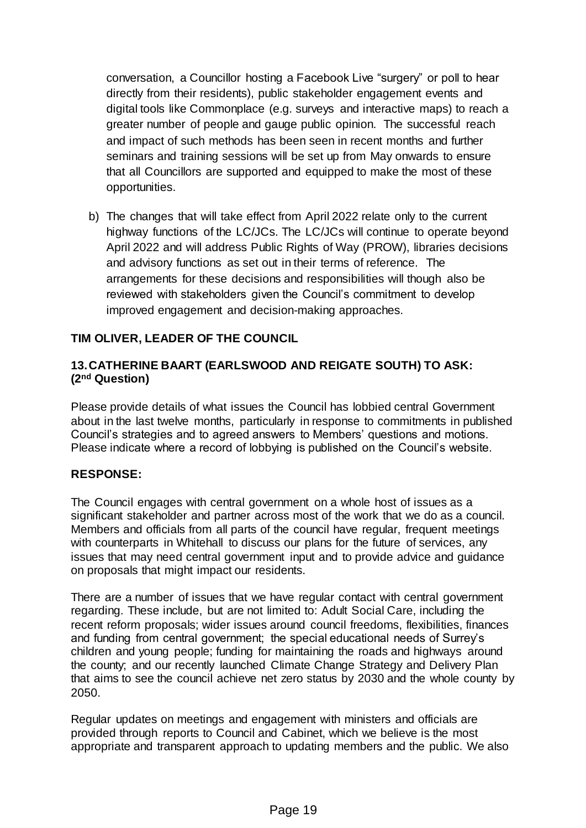conversation, a Councillor hosting a Facebook Live "surgery" or poll to hear directly from their residents), public stakeholder engagement events and digital tools like Commonplace (e.g. surveys and interactive maps) to reach a greater number of people and gauge public opinion. The successful reach and impact of such methods has been seen in recent months and further seminars and training sessions will be set up from May onwards to ensure that all Councillors are supported and equipped to make the most of these opportunities.

b) The changes that will take effect from April 2022 relate only to the current highway functions of the LC/JCs. The LC/JCs will continue to operate beyond April 2022 and will address Public Rights of Way (PROW), libraries decisions and advisory functions as set out in their terms of reference. The arrangements for these decisions and responsibilities will though also be reviewed with stakeholders given the Council's commitment to develop improved engagement and decision-making approaches.

# **TIM OLIVER, LEADER OF THE COUNCIL**

## **13.CATHERINE BAART (EARLSWOOD AND REIGATE SOUTH) TO ASK: (2nd Question)**

Please provide details of what issues the Council has lobbied central Government about in the last twelve months, particularly in response to commitments in published Council's strategies and to agreed answers to Members' questions and motions. Please indicate where a record of lobbying is published on the Council's website.

### **RESPONSE:**

The Council engages with central government on a whole host of issues as a significant stakeholder and partner across most of the work that we do as a council. Members and officials from all parts of the council have regular, frequent meetings with counterparts in Whitehall to discuss our plans for the future of services, any issues that may need central government input and to provide advice and guidance on proposals that might impact our residents.

There are a number of issues that we have regular contact with central government regarding. These include, but are not limited to: Adult Social Care, including the recent reform proposals; wider issues around council freedoms, flexibilities, finances and funding from central government; the special educational needs of Surrey's children and young people; funding for maintaining the roads and highways around the county; and our recently launched Climate Change Strategy and Delivery Plan that aims to see the council achieve net zero status by 2030 and the whole county by 2050.

Regular updates on meetings and engagement with ministers and officials are provided through reports to Council and Cabinet, which we believe is the most appropriate and transparent approach to updating members and the public. We also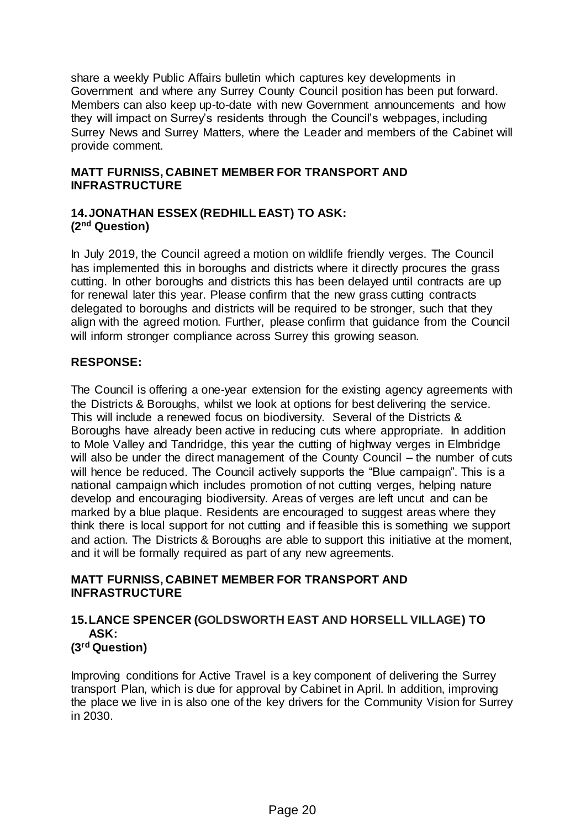share a weekly Public Affairs bulletin which captures key developments in Government and where any Surrey County Council position has been put forward. Members can also keep up-to-date with new Government announcements and how they will impact on Surrey's residents through the Council's webpages, including Surrey News and Surrey Matters, where the Leader and members of the Cabinet will provide comment.

## **MATT FURNISS, CABINET MEMBER FOR TRANSPORT AND INFRASTRUCTURE**

## **14.JONATHAN ESSEX (REDHILL EAST) TO ASK: (2nd Question)**

In July 2019, the Council agreed a motion on wildlife friendly verges. The Council has implemented this in boroughs and districts where it directly procures the grass cutting. In other boroughs and districts this has been delayed until contracts are up for renewal later this year. Please confirm that the new grass cutting contracts delegated to boroughs and districts will be required to be stronger, such that they align with the agreed motion. Further, please confirm that guidance from the Council will inform stronger compliance across Surrey this growing season.

## **RESPONSE:**

The Council is offering a one-year extension for the existing agency agreements with the Districts & Boroughs, whilst we look at options for best delivering the service. This will include a renewed focus on biodiversity. Several of the Districts & Boroughs have already been active in reducing cuts where appropriate. In addition to Mole Valley and Tandridge, this year the cutting of highway verges in Elmbridge will also be under the direct management of the County Council – the number of cuts will hence be reduced. The Council actively supports the "Blue campaign". This is a national campaign which includes promotion of not cutting verges, helping nature develop and encouraging biodiversity. Areas of verges are left uncut and can be marked by a blue plaque. Residents are encouraged to suggest areas where they think there is local support for not cutting and if feasible this is something we support and action. The Districts & Boroughs are able to support this initiative at the moment, and it will be formally required as part of any new agreements.

## **MATT FURNISS, CABINET MEMBER FOR TRANSPORT AND INFRASTRUCTURE**

#### **15.LANCE SPENCER (GOLDSWORTH EAST AND HORSELL VILLAGE) TO ASK: (3rd Question)**

Improving conditions for Active Travel is a key component of delivering the Surrey transport Plan, which is due for approval by Cabinet in April. In addition, improving the place we live in is also one of the key drivers for the Community Vision for Surrey in 2030.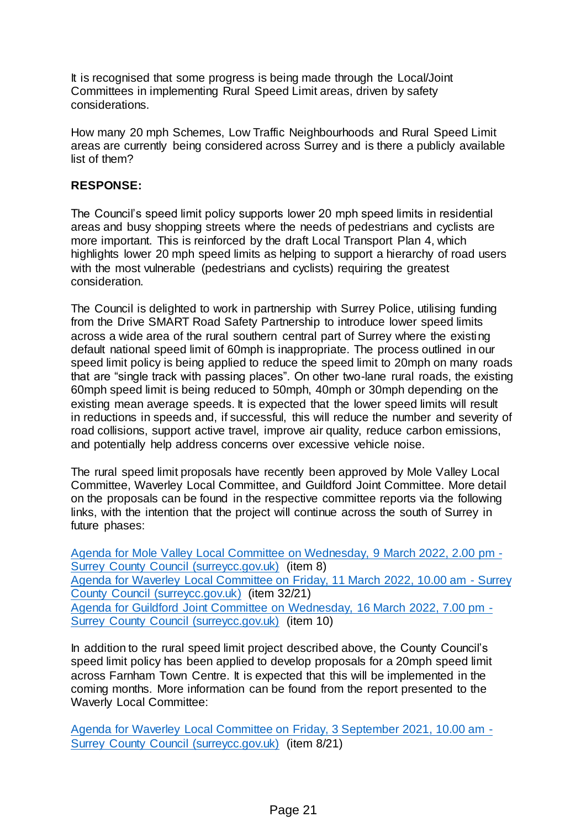It is recognised that some progress is being made through the Local/Joint Committees in implementing Rural Speed Limit areas, driven by safety considerations.

How many 20 mph Schemes, Low Traffic Neighbourhoods and Rural Speed Limit areas are currently being considered across Surrey and is there a publicly available list of them?

## **RESPONSE:**

The Council's speed limit policy supports lower 20 mph speed limits in residential areas and busy shopping streets where the needs of pedestrians and cyclists are more important. This is reinforced by the draft Local Transport Plan 4, which highlights lower 20 mph speed limits as helping to support a hierarchy of road users with the most vulnerable (pedestrians and cyclists) requiring the greatest consideration.

The Council is delighted to work in partnership with Surrey Police, utilising funding from the Drive SMART Road Safety Partnership to introduce lower speed limits across a wide area of the rural southern central part of Surrey where the existing default national speed limit of 60mph is inappropriate. The process outlined in our speed limit policy is being applied to reduce the speed limit to 20mph on many roads that are "single track with passing places". On other two-lane rural roads, the existing 60mph speed limit is being reduced to 50mph, 40mph or 30mph depending on the existing mean average speeds. It is expected that the lower speed limits will result in reductions in speeds and, if successful, this will reduce the number and severity of road collisions, support active travel, improve air quality, reduce carbon emissions, and potentially help address concerns over excessive vehicle noise.

The rural speed limit proposals have recently been approved by Mole Valley Local Committee, Waverley Local Committee, and Guildford Joint Committee. More detail on the proposals can be found in the respective committee reports via the following links, with the intention that the project will continue across the south of Surrey in future phases:

[Agenda for Mole Valley Local Committee on Wednesday, 9 March 2022, 2.00 pm -](https://mycouncil.surreycc.gov.uk/ieListDocuments.aspx?CId=165&MId=8147&Ver=4) [Surrey County Council \(surreycc.gov.uk\)](https://mycouncil.surreycc.gov.uk/ieListDocuments.aspx?CId=165&MId=8147&Ver=4) (item 8) [Agenda for Waverley Local Committee on Friday, 11 March 2022, 10.00 am -](https://mycouncil.surreycc.gov.uk/ieListDocuments.aspx?CId=195&MId=8105&Ver=4) Surrey [County Council \(surreycc.gov.uk\)](https://mycouncil.surreycc.gov.uk/ieListDocuments.aspx?CId=195&MId=8105&Ver=4) (item 32/21) [Agenda for Guildford Joint Committee on Wednesday, 16 March 2022, 7.00 pm -](https://mycouncil.surreycc.gov.uk/ieListDocuments.aspx?CId=751&MId=8071&Ver=4) [Surrey County Council \(surreycc.gov.uk\)](https://mycouncil.surreycc.gov.uk/ieListDocuments.aspx?CId=751&MId=8071&Ver=4) (item 10)

In addition to the rural speed limit project described above, the County Council's speed limit policy has been applied to develop proposals for a 20mph speed limit across Farnham Town Centre. It is expected that this will be implemented in the coming months. More information can be found from the report presented to the Waverly Local Committee:

[Agenda for Waverley Local Committee on Friday, 3 September 2021, 10.00 am -](https://mycouncil.surreycc.gov.uk/ieListDocuments.aspx?CId=195&MId=8320&Ver=4) [Surrey County Council \(surreycc.gov.uk\)](https://mycouncil.surreycc.gov.uk/ieListDocuments.aspx?CId=195&MId=8320&Ver=4) (item 8/21)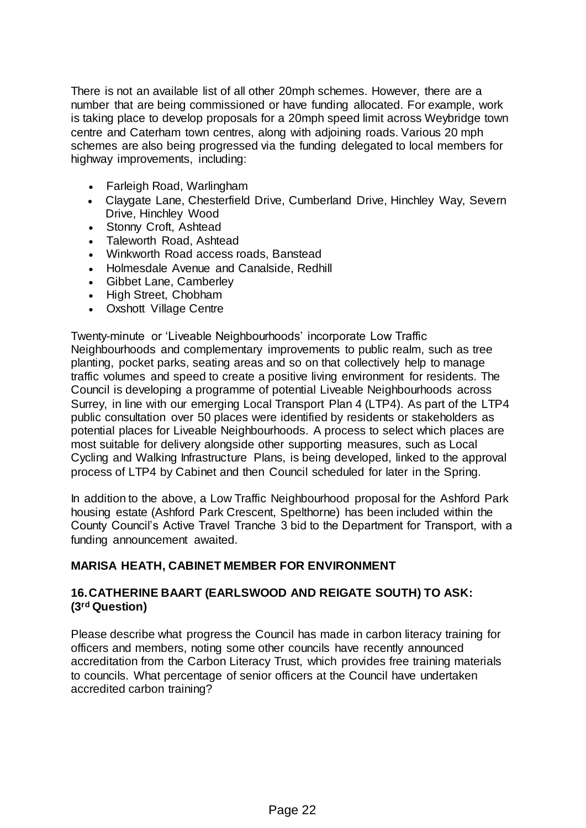There is not an available list of all other 20mph schemes. However, there are a number that are being commissioned or have funding allocated. For example, work is taking place to develop proposals for a 20mph speed limit across Weybridge town centre and Caterham town centres, along with adjoining roads. Various 20 mph schemes are also being progressed via the funding delegated to local members for highway improvements, including:

- Farleigh Road, Warlingham
- Claygate Lane, Chesterfield Drive, Cumberland Drive, Hinchley Way, Severn Drive, Hinchley Wood
- Stonny Croft, Ashtead
- Taleworth Road, Ashtead
- Winkworth Road access roads, Banstead
- Holmesdale Avenue and Canalside, Redhill
- Gibbet Lane, Camberley
- High Street, Chobham
- Oxshott Village Centre

Twenty-minute or 'Liveable Neighbourhoods' incorporate Low Traffic Neighbourhoods and complementary improvements to public realm, such as tree planting, pocket parks, seating areas and so on that collectively help to manage traffic volumes and speed to create a positive living environment for residents. The Council is developing a programme of potential Liveable Neighbourhoods across Surrey, in line with our emerging Local Transport Plan 4 (LTP4). As part of the LTP4 public consultation over 50 places were identified by residents or stakeholders as potential places for Liveable Neighbourhoods. A process to select which places are most suitable for delivery alongside other supporting measures, such as Local Cycling and Walking Infrastructure Plans, is being developed, linked to the approval process of LTP4 by Cabinet and then Council scheduled for later in the Spring.

In addition to the above, a Low Traffic Neighbourhood proposal for the Ashford Park housing estate (Ashford Park Crescent, Spelthorne) has been included within the County Council's Active Travel Tranche 3 bid to the Department for Transport, with a funding announcement awaited.

## **MARISA HEATH, CABINET MEMBER FOR ENVIRONMENT**

## **16.CATHERINE BAART (EARLSWOOD AND REIGATE SOUTH) TO ASK: (3rd Question)**

Please describe what progress the Council has made in carbon literacy training for officers and members, noting some other councils have recently announced accreditation from the Carbon Literacy Trust, which provides free training materials to councils. What percentage of senior officers at the Council have undertaken accredited carbon training?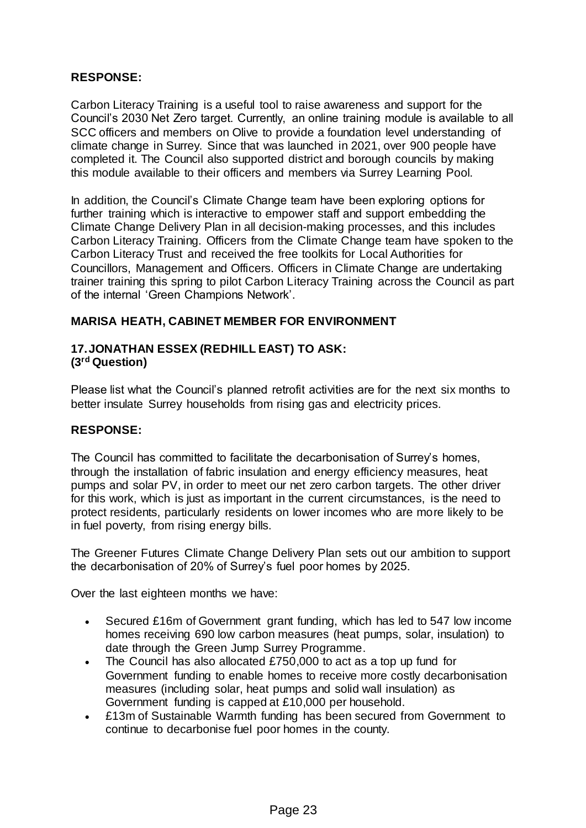### **RESPONSE:**

Carbon Literacy Training is a useful tool to raise awareness and support for the Council's 2030 Net Zero target. Currently, an online training module is available to all SCC officers and members on Olive to provide a foundation level understanding of climate change in Surrey. Since that was launched in 2021, over 900 people have completed it. The Council also supported district and borough councils by making this module available to their officers and members via Surrey Learning Pool.

In addition, the Council's Climate Change team have been exploring options for further training which is interactive to empower staff and support embedding the Climate Change Delivery Plan in all decision-making processes, and this includes Carbon Literacy Training. Officers from the Climate Change team have spoken to the Carbon Literacy Trust and received the free toolkits for Local Authorities for Councillors, Management and Officers. Officers in Climate Change are undertaking trainer training this spring to pilot Carbon Literacy Training across the Council as part of the internal 'Green Champions Network'.

## **MARISA HEATH, CABINET MEMBER FOR ENVIRONMENT**

### **17.JONATHAN ESSEX (REDHILL EAST) TO ASK: (3rd Question)**

Please list what the Council's planned retrofit activities are for the next six months to better insulate Surrey households from rising gas and electricity prices.

### **RESPONSE:**

The Council has committed to facilitate the decarbonisation of Surrey's homes, through the installation of fabric insulation and energy efficiency measures, heat pumps and solar PV, in order to meet our net zero carbon targets. The other driver for this work, which is just as important in the current circumstances, is the need to protect residents, particularly residents on lower incomes who are more likely to be in fuel poverty, from rising energy bills.

The Greener Futures Climate Change Delivery Plan sets out our ambition to support the decarbonisation of 20% of Surrey's fuel poor homes by 2025.

Over the last eighteen months we have:

- Secured £16m of Government grant funding, which has led to 547 low income homes receiving 690 low carbon measures (heat pumps, solar, insulation) to date through the Green Jump Surrey Programme.
- The Council has also allocated £750,000 to act as a top up fund for Government funding to enable homes to receive more costly decarbonisation measures (including solar, heat pumps and solid wall insulation) as Government funding is capped at £10,000 per household.
- £13m of Sustainable Warmth funding has been secured from Government to continue to decarbonise fuel poor homes in the county.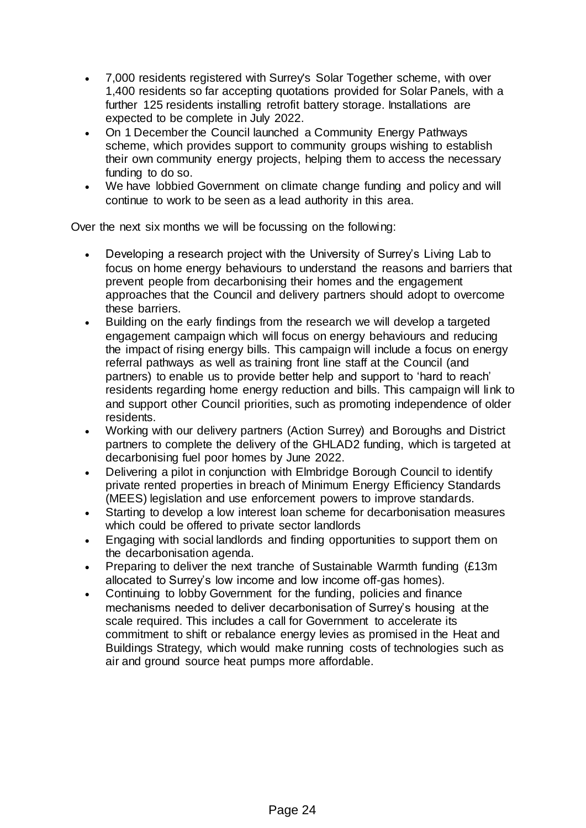- 7,000 residents registered with Surrey's Solar Together scheme, with over 1,400 residents so far accepting quotations provided for Solar Panels, with a further 125 residents installing retrofit battery storage. Installations are expected to be complete in July 2022.
- On 1 December the Council launched a Community Energy Pathways scheme, which provides support to community groups wishing to establish their own community energy projects, helping them to access the necessary funding to do so.
- We have lobbied Government on climate change funding and policy and will continue to work to be seen as a lead authority in this area.

Over the next six months we will be focussing on the following:

- Developing a research project with the University of Surrey's Living Lab to focus on home energy behaviours to understand the reasons and barriers that prevent people from decarbonising their homes and the engagement approaches that the Council and delivery partners should adopt to overcome these barriers.
- Building on the early findings from the research we will develop a targeted engagement campaign which will focus on energy behaviours and reducing the impact of rising energy bills. This campaign will include a focus on energy referral pathways as well as training front line staff at the Council (and partners) to enable us to provide better help and support to 'hard to reach' residents regarding home energy reduction and bills. This campaign will link to and support other Council priorities, such as promoting independence of older residents.
- Working with our delivery partners (Action Surrey) and Boroughs and District partners to complete the delivery of the GHLAD2 funding, which is targeted at decarbonising fuel poor homes by June 2022.
- Delivering a pilot in conjunction with Elmbridge Borough Council to identify private rented properties in breach of Minimum Energy Efficiency Standards (MEES) legislation and use enforcement powers to improve standards.
- Starting to develop a low interest loan scheme for decarbonisation measures which could be offered to private sector landlords
- Engaging with social landlords and finding opportunities to support them on the decarbonisation agenda.
- Preparing to deliver the next tranche of Sustainable Warmth funding (£13m allocated to Surrey's low income and low income off-gas homes).
- Continuing to lobby Government for the funding, policies and finance mechanisms needed to deliver decarbonisation of Surrey's housing at the scale required. This includes a call for Government to accelerate its commitment to shift or rebalance energy levies as promised in the Heat and Buildings Strategy, which would make running costs of technologies such as air and ground source heat pumps more affordable.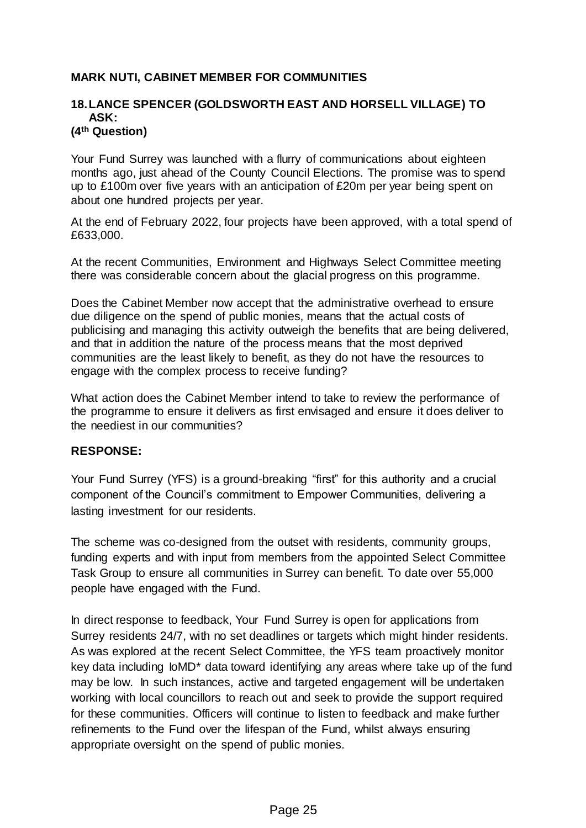## **MARK NUTI, CABINET MEMBER FOR COMMUNITIES**

#### **18.LANCE SPENCER (GOLDSWORTH EAST AND HORSELL VILLAGE) TO ASK: (4th Question)**

Your Fund Surrey was launched with a flurry of communications about eighteen months ago, just ahead of the County Council Elections. The promise was to spend up to £100m over five years with an anticipation of £20m per year being spent on about one hundred projects per year.

At the end of February 2022, four projects have been approved, with a total spend of £633,000.

At the recent Communities, Environment and Highways Select Committee meeting there was considerable concern about the glacial progress on this programme.

Does the Cabinet Member now accept that the administrative overhead to ensure due diligence on the spend of public monies, means that the actual costs of publicising and managing this activity outweigh the benefits that are being delivered, and that in addition the nature of the process means that the most deprived communities are the least likely to benefit, as they do not have the resources to engage with the complex process to receive funding?

What action does the Cabinet Member intend to take to review the performance of the programme to ensure it delivers as first envisaged and ensure it does deliver to the neediest in our communities?

### **RESPONSE:**

Your Fund Surrey (YFS) is a ground-breaking "first" for this authority and a crucial component of the Council's commitment to Empower Communities, delivering a lasting investment for our residents.

The scheme was co-designed from the outset with residents, community groups, funding experts and with input from members from the appointed Select Committee Task Group to ensure all communities in Surrey can benefit. To date over 55,000 people have engaged with the Fund.

In direct response to feedback, Your Fund Surrey is open for applications from Surrey residents 24/7, with no set deadlines or targets which might hinder residents. As was explored at the recent Select Committee, the YFS team proactively monitor key data including IoMD\* data toward identifying any areas where take up of the fund may be low. In such instances, active and targeted engagement will be undertaken working with local councillors to reach out and seek to provide the support required for these communities. Officers will continue to listen to feedback and make further refinements to the Fund over the lifespan of the Fund, whilst always ensuring appropriate oversight on the spend of public monies.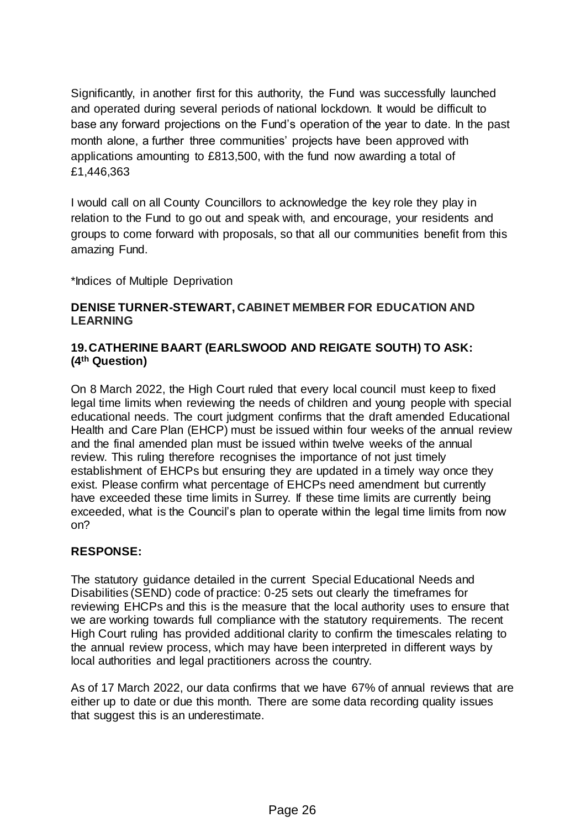Significantly, in another first for this authority, the Fund was successfully launched and operated during several periods of national lockdown. It would be difficult to base any forward projections on the Fund's operation of the year to date. In the past month alone, a further three communities' projects have been approved with applications amounting to £813,500, with the fund now awarding a total of £1,446,363

I would call on all County Councillors to acknowledge the key role they play in relation to the Fund to go out and speak with, and encourage, your residents and groups to come forward with proposals, so that all our communities benefit from this amazing Fund.

\*Indices of Multiple Deprivation

## **DENISE TURNER-STEWART, CABINET MEMBER FOR EDUCATION AND LEARNING**

## **19.CATHERINE BAART (EARLSWOOD AND REIGATE SOUTH) TO ASK: (4th Question)**

On 8 March 2022, the High Court ruled that every local council must keep to fixed legal time limits when reviewing the needs of children and young people with special educational needs. The court judgment confirms that the draft amended Educational Health and Care Plan (EHCP) must be issued within four weeks of the annual review and the final amended plan must be issued within twelve weeks of the annual review. This ruling therefore recognises the importance of not just timely establishment of EHCPs but ensuring they are updated in a timely way once they exist. Please confirm what percentage of EHCPs need amendment but currently have exceeded these time limits in Surrey. If these time limits are currently being exceeded, what is the Council's plan to operate within the legal time limits from now on?

## **RESPONSE:**

The statutory guidance detailed in the current Special Educational Needs and Disabilities (SEND) code of practice: 0-25 sets out clearly the timeframes for reviewing EHCPs and this is the measure that the local authority uses to ensure that we are working towards full compliance with the statutory requirements. The recent High Court ruling has provided additional clarity to confirm the timescales relating to the annual review process, which may have been interpreted in different ways by local authorities and legal practitioners across the country.

As of 17 March 2022, our data confirms that we have 67% of annual reviews that are either up to date or due this month. There are some data recording quality issues that suggest this is an underestimate.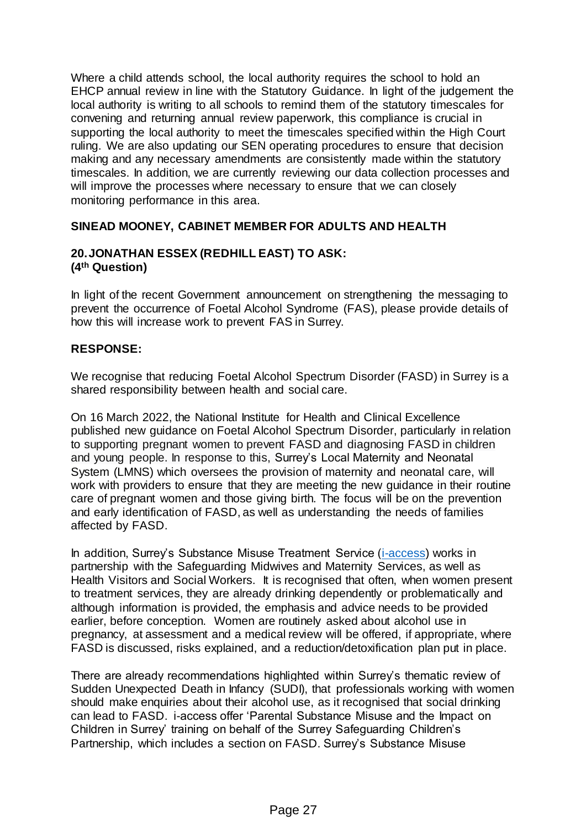Where a child attends school, the local authority requires the school to hold an EHCP annual review in line with the Statutory Guidance. In light of the judgement the local authority is writing to all schools to remind them of the statutory timescales for convening and returning annual review paperwork, this compliance is crucial in supporting the local authority to meet the timescales specified within the High Court ruling. We are also updating our SEN operating procedures to ensure that decision making and any necessary amendments are consistently made within the statutory timescales. In addition, we are currently reviewing our data collection processes and will improve the processes where necessary to ensure that we can closely monitoring performance in this area.

## **SINEAD MOONEY, CABINET MEMBER FOR ADULTS AND HEALTH**

### **20.JONATHAN ESSEX (REDHILL EAST) TO ASK: (4th Question)**

In light of the recent Government announcement on strengthening the messaging to prevent the occurrence of Foetal Alcohol Syndrome (FAS), please provide details of how this will increase work to prevent FAS in Surrey.

### **RESPONSE:**

We recognise that reducing Foetal Alcohol Spectrum Disorder (FASD) in Surrey is a shared responsibility between health and social care.

On 16 March 2022, the National Institute for Health and Clinical Excellence published new guidance on Foetal Alcohol Spectrum Disorder, particularly in relation to supporting pregnant women to prevent FASD and diagnosing FASD in children and young people. In response to this, Surrey's Local Maternity and Neonatal System (LMNS) which oversees the provision of maternity and neonatal care, will work with providers to ensure that they are meeting the new guidance in their routine care of pregnant women and those giving birth. The focus will be on the prevention and early identification of FASD, as well as understanding the needs of families affected by FASD.

In addition, Surrey's Substance Misuse Treatment Service (*i-access*) works in partnership with the Safeguarding Midwives and Maternity Services, as well as Health Visitors and Social Workers. It is recognised that often, when women present to treatment services, they are already drinking dependently or problematically and although information is provided, the emphasis and advice needs to be provided earlier, before conception. Women are routinely asked about alcohol use in pregnancy, at assessment and a medical review will be offered, if appropriate, where FASD is discussed, risks explained, and a reduction/detoxification plan put in place.

There are already recommendations highlighted within Surrey's thematic review of Sudden Unexpected Death in Infancy (SUDI), that professionals working with women should make enquiries about their alcohol use, as it recognised that social drinking can lead to FASD. i-access offer 'Parental Substance Misuse and the Impact on Children in Surrey' training on behalf of the Surrey Safeguarding Children's Partnership, which includes a section on FASD. Surrey's Substance Misuse